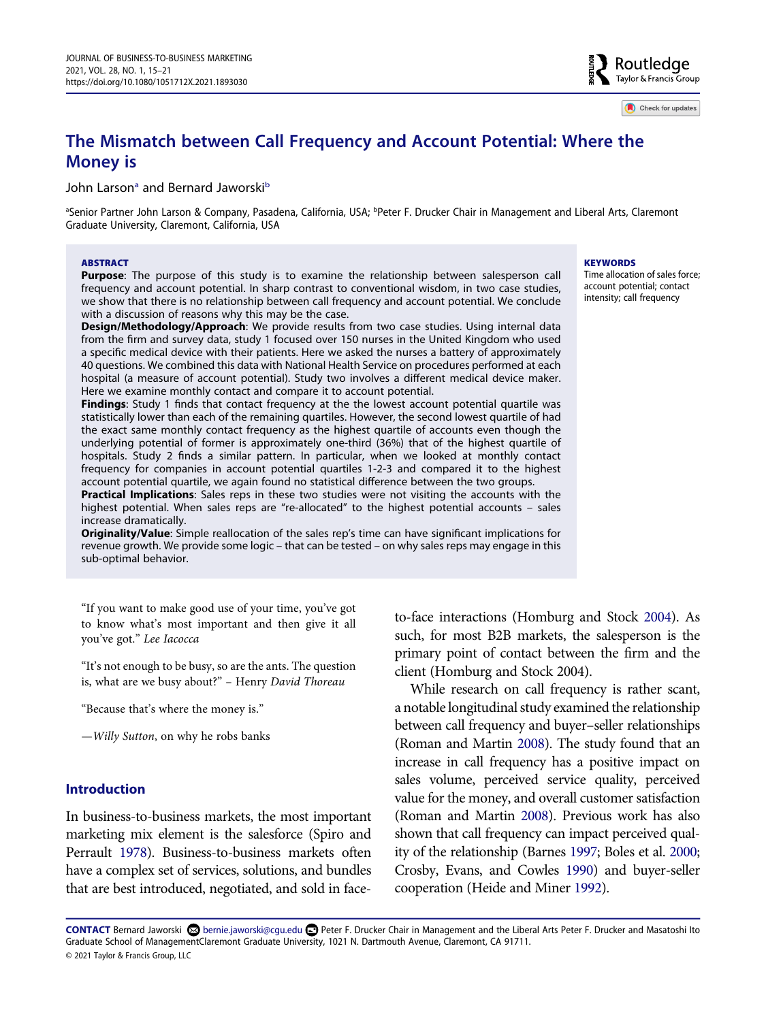Routledge Taylor & Francis Group

Check for updates

# **The Mismatch between Call Frequency and Account Potential: Where the Money is**

## John Larson<sup>a</sup> and Bernard Jaworski<sup>b</sup>

<span id="page-0-0"></span><sup>a</sup>Senior Partner John Larson & Company, Pasadena, California, USA; <sup>b</sup>Peter F. Drucker Chair in Management and Liberal Arts, Claremont Graduate University, Claremont, California, USA

#### **ABSTRACT**

**Purpose**: The purpose of this study is to examine the relationship between salesperson call frequency and account potential. In sharp contrast to conventional wisdom, in two case studies, we show that there is no relationship between call frequency and account potential. We conclude with a discussion of reasons why this may be the case.

**Design/Methodology/Approach**: We provide results from two case studies. Using internal data from the firm and survey data, study 1 focused over 150 nurses in the United Kingdom who used a specific medical device with their patients. Here we asked the nurses a battery of approximately 40 questions. We combined this data with National Health Service on procedures performed at each hospital (a measure of account potential). Study two involves a different medical device maker. Here we examine monthly contact and compare it to account potential.

**Findings**: Study 1 finds that contact frequency at the the lowest account potential quartile was statistically lower than each of the remaining quartiles. However, the second lowest quartile of had the exact same monthly contact frequency as the highest quartile of accounts even though the underlying potential of former is approximately one-third (36%) that of the highest quartile of hospitals. Study 2 finds a similar pattern. In particular, when we looked at monthly contact frequency for companies in account potential quartiles 1-2-3 and compared it to the highest account potential quartile, we again found no statistical difference between the two groups.

**Practical Implications**: Sales reps in these two studies were not visiting the accounts with the highest potential. When sales reps are "re-allocated" to the highest potential accounts – sales increase dramatically.

**Originality/Value**: Simple reallocation of the sales rep's time can have significant implications for revenue growth. We provide some logic – that can be tested – on why sales reps may engage in this sub-optimal behavior.

"If you want to make good use of your time, you've got to know what's most important and then give it all you've got." *Lee Iacocca* 

"It's not enough to be busy, so are the ants. The question is, what are we busy about?" – Henry *David Thoreau* 

"Because that's where the money is."

—*Willy Sutton*, on why he robs banks

### **Introduction**

<span id="page-0-6"></span>In business-to-business markets, the most important marketing mix element is the salesforce (Spiro and Perrault [1978\)](#page-6-0). Business-to-business markets often have a complex set of services, solutions, and bundles that are best introduced, negotiated, and sold in face<span id="page-0-4"></span>to-face interactions (Homburg and Stock [2004](#page-6-1)). As such, for most B2B markets, the salesperson is the primary point of contact between the firm and the client (Homburg and Stock 2004).

<span id="page-0-5"></span><span id="page-0-3"></span><span id="page-0-2"></span><span id="page-0-1"></span>While research on call frequency is rather scant, a notable longitudinal study examined the relationship between call frequency and buyer–seller relationships (Roman and Martin [2008](#page-6-2)). The study found that an increase in call frequency has a positive impact on sales volume, perceived service quality, perceived value for the money, and overall customer satisfaction (Roman and Martin [2008](#page-6-2)). Previous work has also shown that call frequency can impact perceived quality of the relationship (Barnes [1997](#page-6-3); Boles et al. [2000](#page-6-4); Crosby, Evans, and Cowles [1990\)](#page-6-5) and buyer-seller cooperation (Heide and Miner [1992](#page-6-6)).

**CONTACT** Bernard Jaworski bernie.jaworski@cgu.edu Peter F. Drucker Chair in Management and the Liberal Arts Peter F. Drucker and Masatoshi Ito Graduate School of ManagementClaremont Graduate University, 1021 N. Dartmouth Avenue, Claremont, CA 91711. © 2021 Taylor & Francis Group, LLC

#### **KEYWORDS**

Time allocation of sales force; account potential; contact intensity; call frequency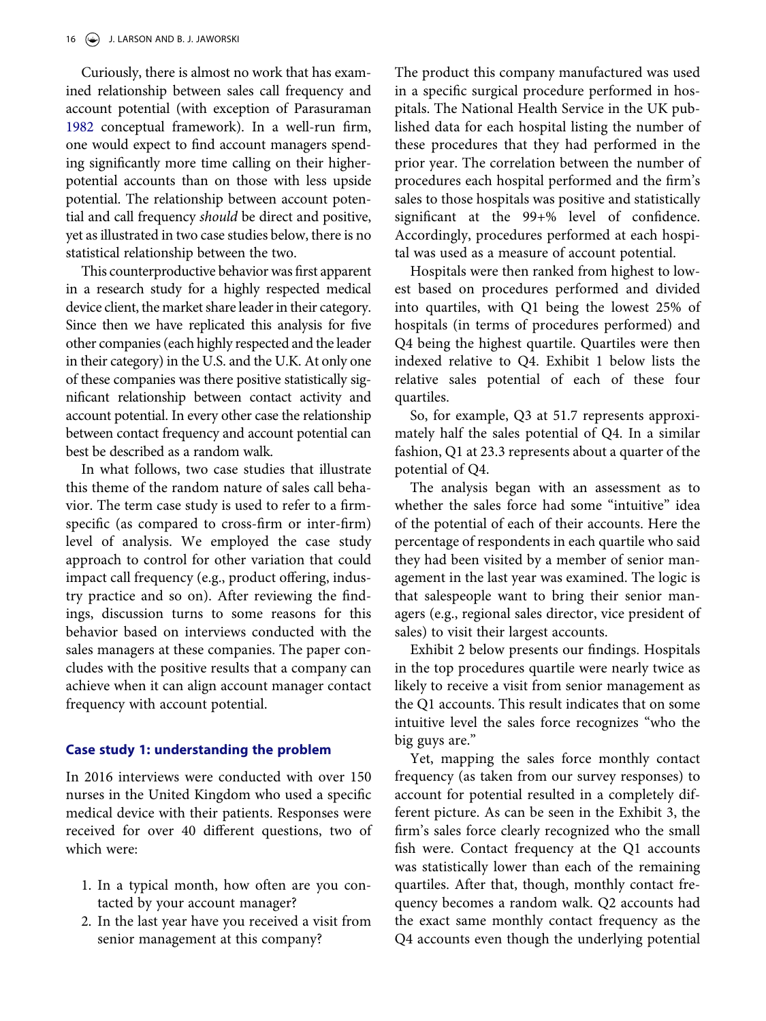<span id="page-1-0"></span>Curiously, there is almost no work that has examined relationship between sales call frequency and account potential (with exception of Parasuraman [1982](#page-6-7) conceptual framework). In a well-run firm, one would expect to find account managers spending significantly more time calling on their higherpotential accounts than on those with less upside potential. The relationship between account potential and call frequency *should* be direct and positive, yet as illustrated in two case studies below, there is no statistical relationship between the two.

This counterproductive behavior was first apparent in a research study for a highly respected medical device client, the market share leader in their category. Since then we have replicated this analysis for five other companies (each highly respected and the leader in their category) in the U.S. and the U.K. At only one of these companies was there positive statistically significant relationship between contact activity and account potential. In every other case the relationship between contact frequency and account potential can best be described as a random walk.

In what follows, two case studies that illustrate this theme of the random nature of sales call behavior. The term case study is used to refer to a firmspecific (as compared to cross-firm or inter-firm) level of analysis. We employed the case study approach to control for other variation that could impact call frequency (e.g., product offering, industry practice and so on). After reviewing the findings, discussion turns to some reasons for this behavior based on interviews conducted with the sales managers at these companies. The paper concludes with the positive results that a company can achieve when it can align account manager contact frequency with account potential.

# **Case study 1: understanding the problem**

In 2016 interviews were conducted with over 150 nurses in the United Kingdom who used a specific medical device with their patients. Responses were received for over 40 different questions, two of which were:

- 1. In a typical month, how often are you contacted by your account manager?
- 2. In the last year have you received a visit from senior management at this company?

The product this company manufactured was used in a specific surgical procedure performed in hospitals. The National Health Service in the UK published data for each hospital listing the number of these procedures that they had performed in the prior year. The correlation between the number of procedures each hospital performed and the firm's sales to those hospitals was positive and statistically significant at the 99+% level of confidence. Accordingly, procedures performed at each hospital was used as a measure of account potential.

Hospitals were then ranked from highest to lowest based on procedures performed and divided into quartiles, with Q1 being the lowest 25% of hospitals (in terms of procedures performed) and Q4 being the highest quartile. Quartiles were then indexed relative to Q4. Exhibit 1 below lists the relative sales potential of each of these four quartiles.

So, for example, Q3 at 51.7 represents approximately half the sales potential of Q4. In a similar fashion, Q1 at 23.3 represents about a quarter of the potential of Q4.

The analysis began with an assessment as to whether the sales force had some "intuitive" idea of the potential of each of their accounts. Here the percentage of respondents in each quartile who said they had been visited by a member of senior management in the last year was examined. The logic is that salespeople want to bring their senior managers (e.g., regional sales director, vice president of sales) to visit their largest accounts.

Exhibit 2 below presents our findings. Hospitals in the top procedures quartile were nearly twice as likely to receive a visit from senior management as the Q1 accounts. This result indicates that on some intuitive level the sales force recognizes "who the big guys are."

Yet, mapping the sales force monthly contact frequency (as taken from our survey responses) to account for potential resulted in a completely different picture. As can be seen in the Exhibit 3, the firm's sales force clearly recognized who the small fish were. Contact frequency at the Q1 accounts was statistically lower than each of the remaining quartiles. After that, though, monthly contact frequency becomes a random walk. Q2 accounts had the exact same monthly contact frequency as the Q4 accounts even though the underlying potential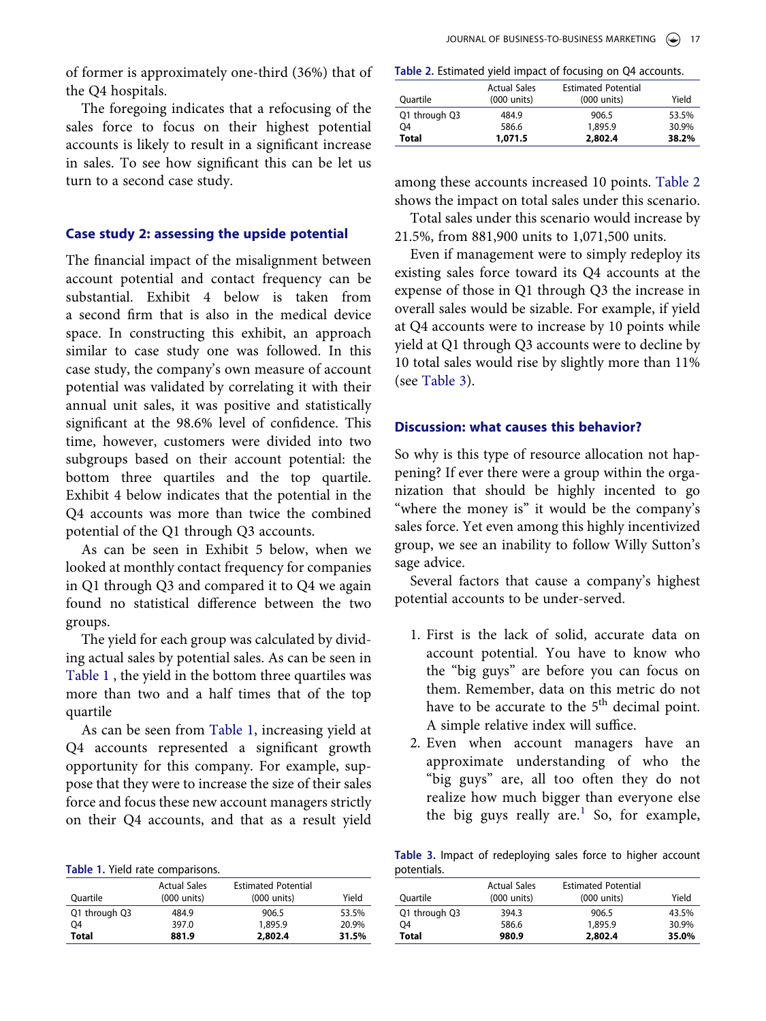of former is approximately one-third (36%) that of the Q4 hospitals.

The foregoing indicates that a refocusing of the sales force to focus on their highest potential accounts is likely to result in a significant increase in sales. To see how significant this can be let us turn to a second case study.

# **Case study 2: assessing the upside potential**

The financial impact of the misalignment between account potential and contact frequency can be substantial. Exhibit 4 below is taken from a second firm that is also in the medical device space. In constructing this exhibit, an approach similar to case study one was followed. In this case study, the company's own measure of account potential was validated by correlating it with their annual unit sales, it was positive and statistically significant at the 98.6% level of confidence. This time, however, customers were divided into two subgroups based on their account potential: the bottom three quartiles and the top quartile. Exhibit 4 below indicates that the potential in the Q4 accounts was more than twice the combined potential of the Q1 through Q3 accounts.

As can be seen in Exhibit 5 below, when we looked at monthly contact frequency for companies in Q1 through Q3 and compared it to Q4 we again found no statistical difference between the two groups.

The yield for each group was calculated by dividing actual sales by potential sales. As can be seen in [Table 1](#page-2-0) , the yield in the bottom three quartiles was more than two and a half times that of the top quartile

As can be seen from [Table 1,](#page-2-0) increasing yield at Q4 accounts represented a significant growth opportunity for this company. For example, suppose that they were to increase the size of their sales force and focus these new account managers strictly on their Q4 accounts, and that as a result yield

<span id="page-2-0"></span>

|  |  |  |  |  | Table 1. Yield rate comparisons. |
|--|--|--|--|--|----------------------------------|
|--|--|--|--|--|----------------------------------|

| Ouartile      | <b>Actual Sales</b><br>$(000 \text{ units})$ | <b>Estimated Potential</b><br>$(000 \text{ units})$ | Yield |
|---------------|----------------------------------------------|-----------------------------------------------------|-------|
| Q1 through Q3 | 484.9                                        | 906.5                                               | 53.5% |
| 04            | 397.0                                        | 1,895.9                                             | 20.9% |
| Total         | 881.9                                        | 2,802.4                                             | 31.5% |

<span id="page-2-1"></span>**Table 2.** Estimated yield impact of focusing on Q4 accounts.

| Ouartile       | <b>Actual Sales</b><br>$(000 \text{ units})$ | <b>Estimated Potential</b><br>$(000 \text{ units})$ | Yield |
|----------------|----------------------------------------------|-----------------------------------------------------|-------|
| Q1 through Q3  | 484.9                                        | 906.5                                               | 53.5% |
| O <sub>4</sub> | 586.6                                        | 1,895.9                                             | 30.9% |
| <b>Total</b>   | 1,071.5                                      | 2,802.4                                             | 38.2% |

among these accounts increased 10 points. [Table 2](#page-2-1) shows the impact on total sales under this scenario.

Total sales under this scenario would increase by 21.5%, from 881,900 units to 1,071,500 units.

Even if management were to simply redeploy its existing sales force toward its Q4 accounts at the expense of those in Q1 through Q3 the increase in overall sales would be sizable. For example, if yield at Q4 accounts were to increase by 10 points while yield at Q1 through Q3 accounts were to decline by 10 total sales would rise by slightly more than 11% (see [Table 3\)](#page-2-2).

# **Discussion: what causes this behavior?**

So why is this type of resource allocation not happening? If ever there were a group within the organization that should be highly incented to go "where the money is" it would be the company's sales force. Yet even among this highly incentivized group, we see an inability to follow Willy Sutton's sage advice.

Several factors that cause a company's highest potential accounts to be under-served.

- 1. First is the lack of solid, accurate data on account potential. You have to know who the "big guys" are before you can focus on them. Remember, data on this metric do not have to be accurate to the  $5<sup>th</sup>$  decimal point. A simple relative index will suffice.
- 2. Even when account managers have an approximate understanding of who the "big guys" are, all too often they do not realize how much bigger than everyone else the big guys really are.<sup>[1](#page-5-0)</sup> So, for example,

<span id="page-2-2"></span>**Table 3.** Impact of redeploying sales force to higher account potentials.

| Ouartile      | <b>Actual Sales</b><br>(000 units) | <b>Estimated Potential</b><br>$(000 \text{ units})$ | Yield |
|---------------|------------------------------------|-----------------------------------------------------|-------|
| Q1 through Q3 | 394.3                              | 906.5                                               | 43.5% |
| 04            | 586.6                              | 1,895.9                                             | 30.9% |
| Total         | 980.9                              | 2,802.4                                             | 35.0% |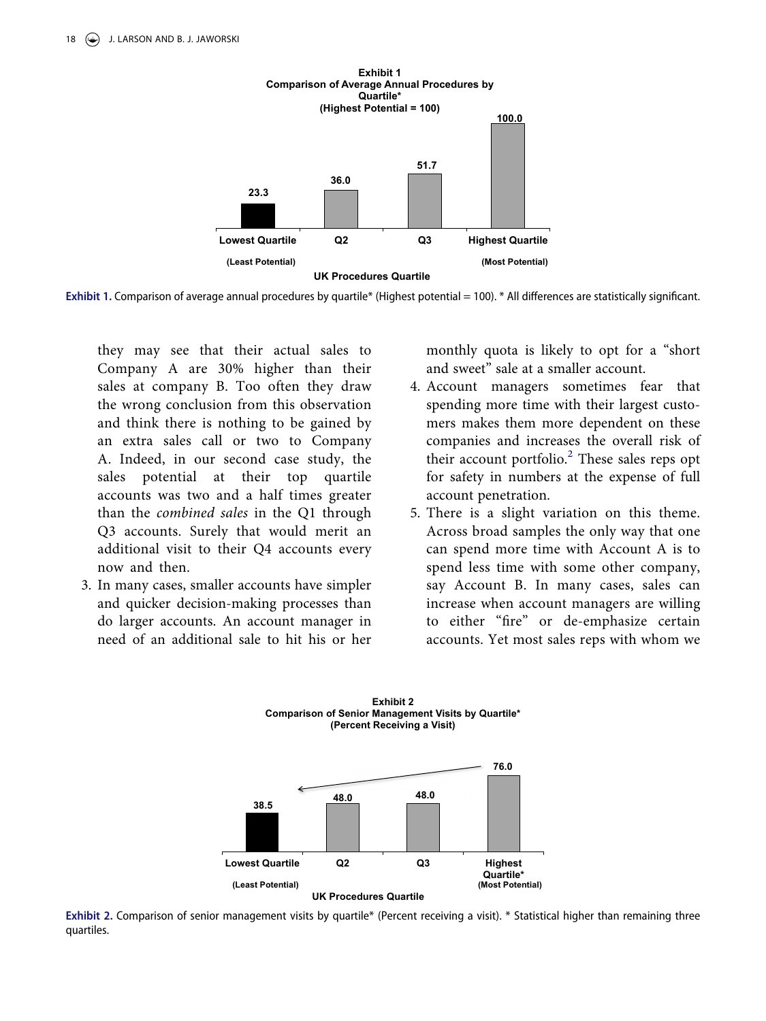

**Exhibit 1.** Comparison of average annual procedures by quartile\* (Highest potential = 100). \* All differences are statistically significant.

they may see that their actual sales to Company A are 30% higher than their sales at company B. Too often they draw the wrong conclusion from this observation and think there is nothing to be gained by an extra sales call or two to Company A. Indeed, in our second case study, the sales potential at their top quartile accounts was two and a half times greater than the *combined sales* in the Q1 through Q3 accounts. Surely that would merit an additional visit to their Q4 accounts every now and then.

3. In many cases, smaller accounts have simpler and quicker decision-making processes than do larger accounts. An account manager in need of an additional sale to hit his or her monthly quota is likely to opt for a "short and sweet" sale at a smaller account.

- 4. Account managers sometimes fear that spending more time with their largest customers makes them more dependent on these companies and increases the overall risk of their account portfolio.<sup>[2](#page-6-8)</sup> These sales reps opt for safety in numbers at the expense of full account penetration.
- 5. There is a slight variation on this theme. Across broad samples the only way that one can spend more time with Account A is to spend less time with some other company, say Account B. In many cases, sales can increase when account managers are willing to either "fire" or de-emphasize certain accounts. Yet most sales reps with whom we



**Exhibit 2.** Comparison of senior management visits by quartile\* (Percent receiving a visit). \* Statistical higher than remaining three quartiles.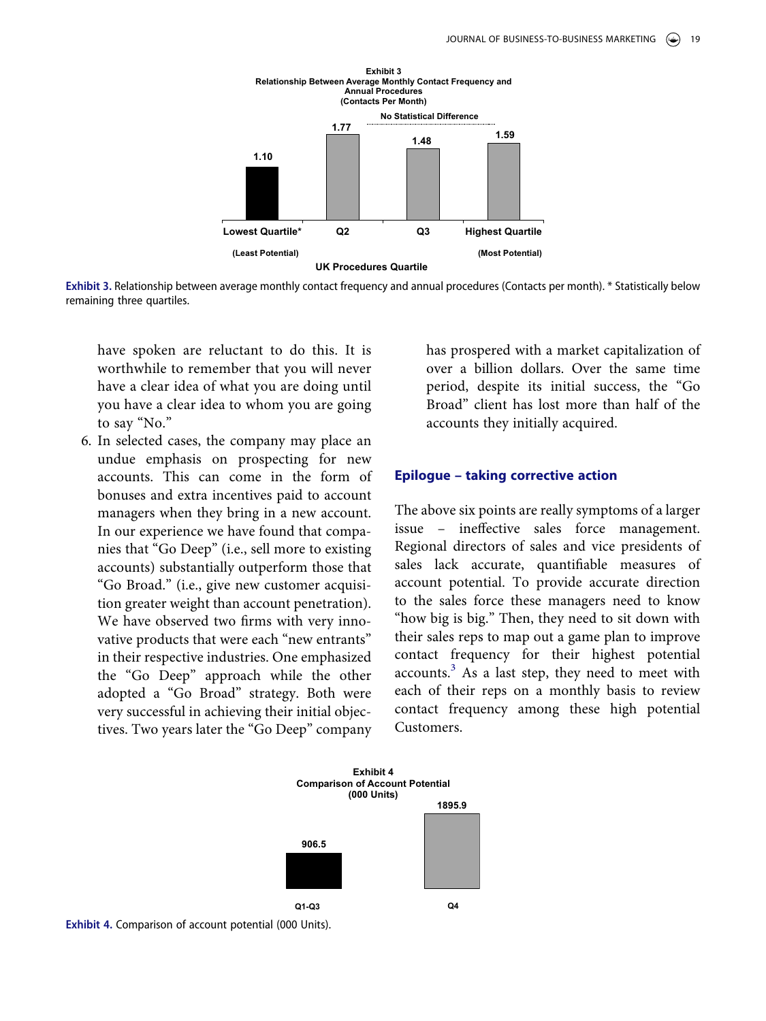

**Exhibit 3.** Relationship between average monthly contact frequency and annual procedures (Contacts per month). \* Statistically below remaining three quartiles.

have spoken are reluctant to do this. It is worthwhile to remember that you will never have a clear idea of what you are doing until you have a clear idea to whom you are going to say "No."

6. In selected cases, the company may place an undue emphasis on prospecting for new accounts. This can come in the form of bonuses and extra incentives paid to account managers when they bring in a new account. In our experience we have found that companies that "Go Deep" (i.e., sell more to existing accounts) substantially outperform those that "Go Broad." (i.e., give new customer acquisition greater weight than account penetration). We have observed two firms with very innovative products that were each "new entrants" in their respective industries. One emphasized the "Go Deep" approach while the other adopted a "Go Broad" strategy. Both were very successful in achieving their initial objectives. Two years later the "Go Deep" company

has prospered with a market capitalization of over a billion dollars. Over the same time period, despite its initial success, the "Go Broad" client has lost more than half of the accounts they initially acquired.

#### **Epilogue – taking corrective action**

The above six points are really symptoms of a larger issue – ineffective sales force management. Regional directors of sales and vice presidents of sales lack accurate, quantifiable measures of account potential. To provide accurate direction to the sales force these managers need to know "how big is big." Then, they need to sit down with their sales reps to map out a game plan to improve contact frequency for their highest potential accounts.<sup>3</sup> As a last step, they need to meet with each of their reps on a monthly basis to review contact frequency among these high potential Customers.



**Exhibit 4.** Comparison of account potential (000 Units).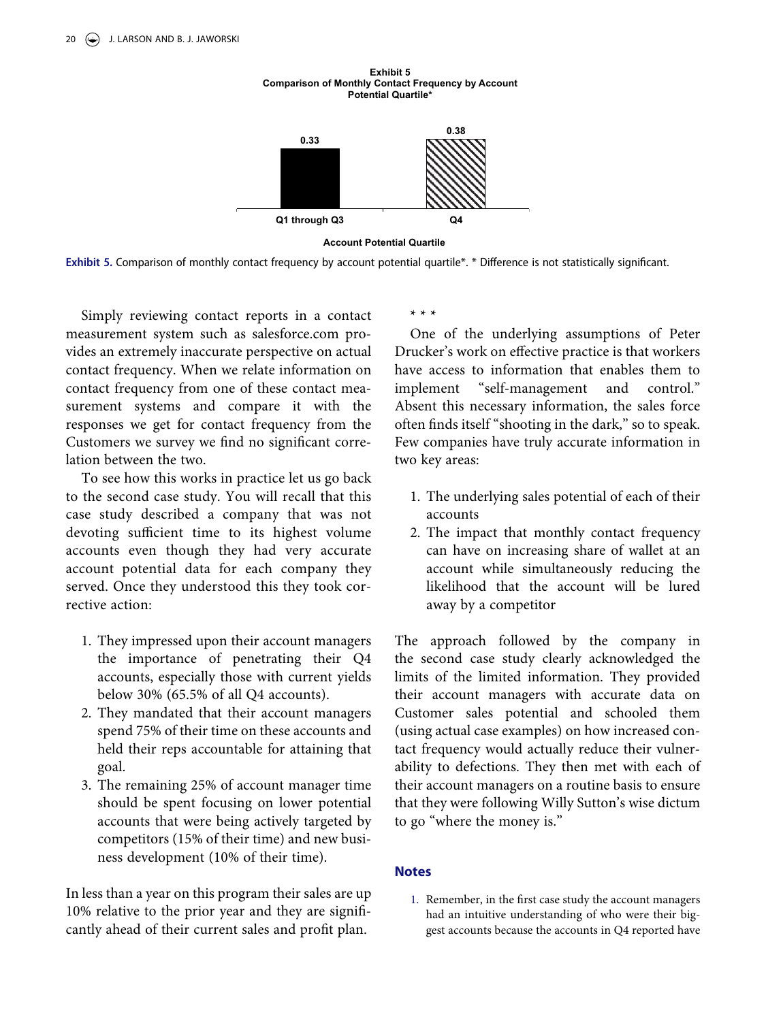

**Account Potential Quartile**

**Exhibit 5 Comparison of Monthly Contact Frequency by Account Potential Quartile\***

**Exhibit 5.** Comparison of monthly contact frequency by account potential quartile\*. \* Difference is not statistically significant.

Simply reviewing contact reports in a contact measurement system such as salesforce.com provides an extremely inaccurate perspective on actual contact frequency. When we relate information on contact frequency from one of these contact measurement systems and compare it with the responses we get for contact frequency from the Customers we survey we find no significant correlation between the two.

To see how this works in practice let us go back to the second case study. You will recall that this case study described a company that was not devoting sufficient time to its highest volume accounts even though they had very accurate account potential data for each company they served. Once they understood this they took corrective action:

- 1. They impressed upon their account managers the importance of penetrating their Q4 accounts, especially those with current yields below 30% (65.5% of all Q4 accounts).
- 2. They mandated that their account managers spend 75% of their time on these accounts and held their reps accountable for attaining that goal.
- 3. The remaining 25% of account manager time should be spent focusing on lower potential accounts that were being actively targeted by competitors (15% of their time) and new business development (10% of their time).

In less than a year on this program their sales are up 10% relative to the prior year and they are significantly ahead of their current sales and profit plan.

**\* \* \***

One of the underlying assumptions of Peter Drucker's work on effective practice is that workers have access to information that enables them to implement "self-management and control." Absent this necessary information, the sales force often finds itself "shooting in the dark," so to speak. Few companies have truly accurate information in two key areas:

- 1. The underlying sales potential of each of their accounts
- 2. The impact that monthly contact frequency can have on increasing share of wallet at an account while simultaneously reducing the likelihood that the account will be lured away by a competitor

The approach followed by the company in the second case study clearly acknowledged the limits of the limited information. They provided their account managers with accurate data on Customer sales potential and schooled them (using actual case examples) on how increased contact frequency would actually reduce their vulnerability to defections. They then met with each of their account managers on a routine basis to ensure that they were following Willy Sutton's wise dictum to go "where the money is."

### **Notes**

<span id="page-5-0"></span>1. Remember, in the first case study the account managers had an intuitive understanding of who were their biggest accounts because the accounts in Q4 reported have